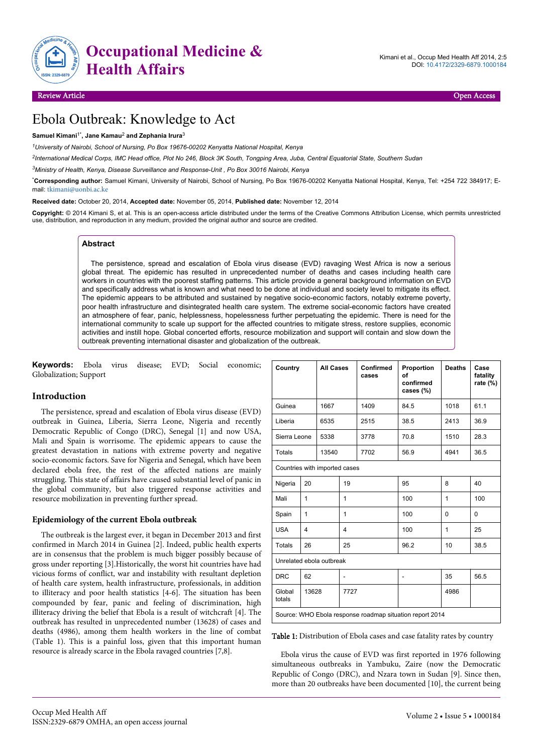

Review Article Open Access

# Ebola Outbreak: Knowledge to Act

#### **Samuel Kimani**1\***, Jane Kamau**<sup>2</sup>  **and Zephania Irura**<sup>3</sup>

*<sup>1</sup>University of Nairobi, School of Nursing, Po Box 19676-00202 Kenyatta National Hospital, Kenya*

*2 International Medical Corps, IMC Head office, Plot No 246, Block 3K South, Tongping Area, Juba, Central Equatorial State, Southern Sudan*

*<sup>3</sup>Ministry of Health, Kenya, Disease Surveillance and Response-Unit , Po Box 30016 Nairobi, Kenya*

\***Corresponding author:** Samuel Kimani, University of Nairobi, School of Nursing, Po Box 19676-00202 Kenyatta National Hospital, Kenya, Tel: +254 722 384917; Email: [tkimani@uonbi.ac.ke](mailto:tkimani@uonbi.ac.ke)

**Received date:** October 20, 2014, **Accepted date:** November 05, 2014, **Published date:** November 12, 2014

**Copyright:** © 2014 Kimani S, et al. This is an open-access article distributed under the terms of the Creative Commons Attribution License, which permits unrestricted use, distribution, and reproduction in any medium, provided the original author and source are credited.

# **Abstract**

The persistence, spread and escalation of Ebola virus disease (EVD) ravaging West Africa is now a serious global threat. The epidemic has resulted in unprecedented number of deaths and cases including health care workers in countries with the poorest staffing patterns. This article provide a general background information on EVD and specifically address what is known and what need to be done at individual and society level to mitigate its effect. The epidemic appears to be attributed and sustained by negative socio-economic factors, notably extreme poverty, poor health infrastructure and disintegrated health care system. The extreme social-economic factors have created an atmosphere of fear, panic, helplessness, hopelessness further perpetuating the epidemic. There is need for the international community to scale up support for the affected countries to mitigate stress, restore supplies, economic activities and instill hope. Global concerted efforts, resource mobilization and support will contain and slow down the outbreak preventing international disaster and globalization of the outbreak.

**Keywords:** Ebola virus disease; EVD; Social economic; Globalization; Support

# **Introduction**

The persistence, spread and escalation of Ebola virus disease (EVD) outbreak in Guinea, Liberia, Sierra Leone, Nigeria and recently Democratic Republic of Congo (DRC), Senegal [1] and now USA, Mali and Spain is worrisome. The epidemic appears to cause the greatest devastation in nations with extreme poverty and negative socio-economic factors. Save for Nigeria and Senegal, which have been declared ebola free, the rest of the affected nations are mainly struggling. This state of affairs have caused substantial level of panic in the global community, but also triggered response activities and resource mobilization in preventing further spread.

## **Epidemiology of the current Ebola outbreak**

The outbreak is the largest ever, it began in December 2013 and first confirmed in March 2014 in Guinea [2]. Indeed, public health experts are in consensus that the problem is much bigger possibly because of gross under reporting [3].Historically, the worst hit countries have had vicious forms of conflict, war and instability with resultant depletion of health care system, health infrastructure, professionals, in addition to illiteracy and poor health statistics [4-6]. The situation has been compounded by fear, panic and feeling of discrimination, high illiteracy driving the belief that Ebola is a result of witchcraft [4]. The outbreak has resulted in unprecedented number (13628) of cases and deaths (4986), among them health workers in the line of combat (Table 1). This is a painful loss, given that this important human resource is already scarce in the Ebola ravaged countries [7,8].

| Country                       |                         | <b>All Cases</b> |      | Confirmed<br>cases | Proportion<br>of<br>confirmed<br>cases (%)               | <b>Deaths</b> | Case<br>fatality<br>rate $(\%)$ |
|-------------------------------|-------------------------|------------------|------|--------------------|----------------------------------------------------------|---------------|---------------------------------|
| Guinea                        | 1667                    |                  |      | 1409               | 84.5                                                     | 1018          | 61.1                            |
| Liberia                       |                         | 6535             |      | 2515               | 38.5                                                     | 2413          | 36.9                            |
| Sierra Leone                  |                         | 5338             |      | 3778               | 70.8                                                     | 1510          | 28.3                            |
| <b>Totals</b>                 | 13540                   |                  |      | 7702               | 56.9                                                     | 4941          | 36.5                            |
| Countries with imported cases |                         |                  |      |                    |                                                          |               |                                 |
| Nigeria                       | 20                      |                  | 19   |                    | 95                                                       | 8             | 40                              |
| Mali                          | 1                       |                  | 1    |                    | 100                                                      | 1             | 100                             |
| Spain                         | 1                       |                  | 1    |                    | 100                                                      | 0             | 0                               |
| USA                           | $\overline{\mathbf{4}}$ |                  | 4    |                    | 100                                                      | 1             | 25                              |
| <b>Totals</b>                 | 26                      |                  | 25   |                    | 96.2                                                     | 10            | 38.5                            |
| Unrelated ebola outbreak      |                         |                  |      |                    |                                                          |               |                                 |
| <b>DRC</b>                    | 62                      |                  | ٠    |                    | ٠                                                        | 35            | 56.5                            |
| Global<br>totals              | 13628                   |                  | 7727 |                    |                                                          | 4986          |                                 |
|                               |                         |                  |      |                    | Source: WHO Ebola response roadmap situation report 2014 |               |                                 |

Table 1: Distribution of Ebola cases and case fatality rates by country

Ebola virus the cause of EVD was first reported in 1976 following simultaneous outbreaks in Yambuku, Zaire (now the Democratic Republic of Congo (DRC), and Nzara town in Sudan [9]. Since then, more than 20 outbreaks have been documented [10], the current being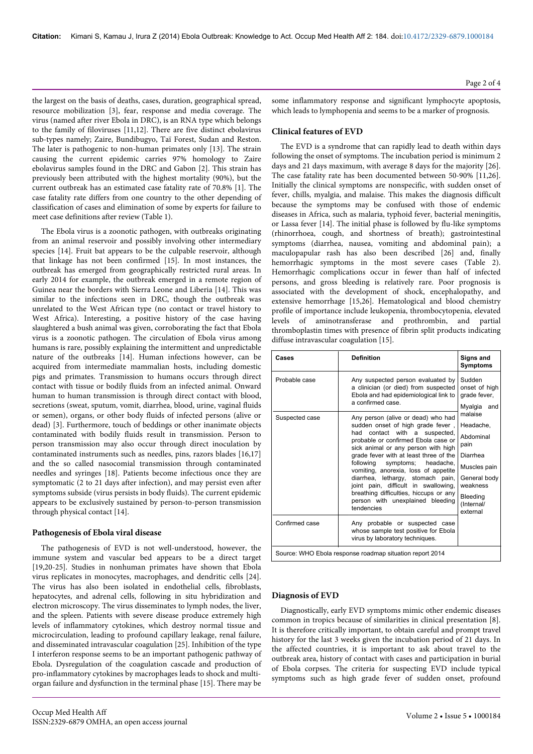the largest on the basis of deaths, cases, duration, geographical spread, resource mobilization [3], fear, response and media coverage. The virus (named after river Ebola in DRC), is an RNA type which belongs to the family of filoviruses [11,12]. There are five distinct ebolavirus sub-types namely; Zaire, Bundibugyo, Taï Forest, Sudan and Reston. The later is pathogenic to non-human primates only [13]. The strain causing the current epidemic carries 97% homology to Zaire ebolavirus samples found in the DRC and Gabon [2]. This strain has previously been attributed with the highest mortality (90%), but the current outbreak has an estimated case fatality rate of 70.8% [1]. The case fatality rate differs from one country to the other depending of classification of cases and elimination of some by experts for failure to meet case definitions after review (Table 1).

The Ebola virus is a zoonotic pathogen, with outbreaks originating from an animal reservoir and possibly involving other intermediary species [14]. Fruit bat appears to be the culpable reservoir, although that linkage has not been confirmed [15]. In most instances, the outbreak has emerged from geographically restricted rural areas. In early 2014 for example, the outbreak emerged in a remote region of Guinea near the borders with Sierra Leone and Liberia [14]. This was similar to the infections seen in DRC, though the outbreak was unrelated to the West African type (no contact or travel history to West Africa). Interesting, a positive history of the case having slaughtered a bush animal was given, corroborating the fact that Ebola virus is a zoonotic pathogen. The circulation of Ebola virus among humans is rare, possibly explaining the intermittent and unpredictable nature of the outbreaks [14]. Human infections however, can be acquired from intermediate mammalian hosts, including domestic pigs and primates. Transmission to humans occurs through direct contact with tissue or bodily fluids from an infected animal. Onward human to human transmission is through direct contact with blood, secretions (sweat, sputum, vomit, diarrhea, blood, urine, vaginal fluids or semen), organs, or other body fluids of infected persons (alive or dead) [3]. Furthermore, touch of beddings or other inanimate objects contaminated with bodily fluids result in transmission. Person to person transmission may also occur through direct inoculation by contaminated instruments such as needles, pins, razors blades [16,17] and the so called nasocomial transmission through contaminated needles and syringes [18]. Patients become infectious once they are symptomatic (2 to 21 days after infection), and may persist even after symptoms subside (virus persists in body fluids). The current epidemic appears to be exclusively sustained by person-to-person transmission through physical contact [14].

## **Pathogenesis of Ebola viral disease**

The pathogenesis of EVD is not well-understood, however, the immune system and vascular bed appears to be a direct target [19,20-25]. Studies in nonhuman primates have shown that Ebola virus replicates in monocytes, macrophages, and dendritic cells [24]. The virus has also been isolated in endothelial cells, fibroblasts, hepatocytes, and adrenal cells, following in situ hybridization and electron microscopy. The virus disseminates to lymph nodes, the liver, and the spleen. Patients with severe disease produce extremely high levels of inflammatory cytokines, which destroy normal tissue and microcirculation, leading to profound capillary leakage, renal failure, and disseminated intravascular coagulation [25]. Inhibition of the type I interferon response seems to be an important pathogenic pathway of Ebola. Dysregulation of the coagulation cascade and production of pro-inflammatory cytokines by macrophages leads to shock and multiorgan failure and dysfunction in the terminal phase [15]. There may be Page 2 of 4

some inflammatory response and significant lymphocyte apoptosis, which leads to lymphopenia and seems to be a marker of prognosis.

# **Clinical features of EVD**

The EVD is a syndrome that can rapidly lead to death within days following the onset of symptoms. The incubation period is minimum 2 days and 21 days maximum, with average 8 days for the majority [26]. The case fatality rate has been documented between 50-90% [11,26]. Initially the clinical symptoms are nonspecific, with sudden onset of fever, chills, myalgia, and malaise. This makes the diagnosis difficult because the symptoms may be confused with those of endemic diseases in Africa, such as malaria, typhoid fever, bacterial meningitis, or Lassa fever [14]. The initial phase is followed by flu-like symptoms (rhinorrhoea, cough, and shortness of breath); gastrointestinal symptoms (diarrhea, nausea, vomiting and abdominal pain); a maculopapular rash has also been described [26] and, finally hemorrhagic symptoms in the most severe cases (Table 2). Hemorrhagic complications occur in fewer than half of infected persons, and gross bleeding is relatively rare. Poor prognosis is associated with the development of shock, encephalopathy, and extensive hemorrhage [15,26]. Hematological and blood chemistry profile of importance include leukopenia, thrombocytopenia, elevated levels of aminotransferase and prothrombin, and partial thromboplastin times with presence of fibrin split products indicating diffuse intravascular coagulation [15].

| Cases                                                    | <b>Definition</b>                                                                                                                                                                                                                                                                                                                                                                                                                                                                     | Signs and<br><b>Symptoms</b>                                                                                                            |  |  |  |  |  |
|----------------------------------------------------------|---------------------------------------------------------------------------------------------------------------------------------------------------------------------------------------------------------------------------------------------------------------------------------------------------------------------------------------------------------------------------------------------------------------------------------------------------------------------------------------|-----------------------------------------------------------------------------------------------------------------------------------------|--|--|--|--|--|
| Probable case                                            | Any suspected person evaluated by<br>a clinician (or died) from suspected<br>Ebola and had epidemiological link to<br>a confirmed case                                                                                                                                                                                                                                                                                                                                                | Sudden<br>onset of high<br>grade fever,<br>Myalgia<br>and                                                                               |  |  |  |  |  |
| Suspected case                                           | Any person (alive or dead) who had<br>sudden onset of high grade fever,<br>had contact with a suspected,<br>probable or confirmed Ebola case or<br>sick animal or any person with high<br>grade fever with at least three of the<br>following symptoms;<br>headache.<br>vomiting, anorexia, loss of appetite<br>diarrhea, lethargy, stomach pain,<br>joint pain, difficult in swallowing,<br>breathing difficulties, hiccups or any<br>person with unexplained bleeding<br>tendencies | malaise<br>Headache.<br>Abdominal<br>pain<br>Diarrhea<br>Muscles pain<br>General body<br>weakness<br>Bleeding<br>(Internal/<br>external |  |  |  |  |  |
| Confirmed case                                           | Any probable or suspected case<br>whose sample test positive for Ebola<br>virus by laboratory techniques.                                                                                                                                                                                                                                                                                                                                                                             |                                                                                                                                         |  |  |  |  |  |
| Source: WHO Ebola response roadmap situation report 2014 |                                                                                                                                                                                                                                                                                                                                                                                                                                                                                       |                                                                                                                                         |  |  |  |  |  |

## **Diagnosis of EVD**

Diagnostically, early EVD symptoms mimic other endemic diseases common in tropics because of similarities in clinical presentation [8]. It is therefore critically important, to obtain careful and prompt travel history for the last 3 weeks given the incubation period of 21 days. In the affected countries, it is important to ask about travel to the outbreak area, history of contact with cases and participation in burial of Ebola corpses. The criteria for suspecting EVD include typical symptoms such as high grade fever of sudden onset, profound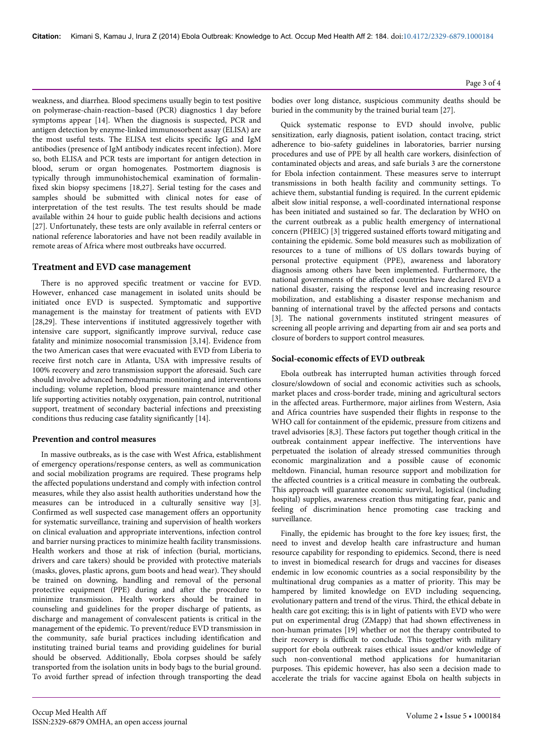weakness, and diarrhea. Blood specimens usually begin to test positive on polymerase-chain-reaction–based (PCR) diagnostics 1 day before symptoms appear [14]. When the diagnosis is suspected, PCR and antigen detection by enzyme-linked immunosorbent assay (ELISA) are the most useful tests. The ELISA test elicits specific IgG and IgM antibodies (presence of IgM antibody indicates recent infection). More so, both ELISA and PCR tests are important for antigen detection in blood, serum or organ homogenates. Postmortem diagnosis is typically through immunohistochemical examination of formalinfixed skin biopsy specimens [18,27]. Serial testing for the cases and samples should be submitted with clinical notes for ease of interpretation of the test results. The test results should be made available within 24 hour to guide public health decisions and actions [27]. Unfortunately, these tests are only available in referral centers or national reference laboratories and have not been readily available in remote areas of Africa where most outbreaks have occurred.

#### **Treatment and EVD case management**

There is no approved specific treatment or vaccine for EVD. However, enhanced case management in isolated units should be initiated once EVD is suspected. Symptomatic and supportive management is the mainstay for treatment of patients with EVD [28,29]. These interventions if instituted aggressively together with intensive care support, significantly improve survival, reduce case fatality and minimize nosocomial transmission [3,14]. Evidence from the two American cases that were evacuated with EVD from Liberia to receive first notch care in Atlanta, USA with impressive results of 100% recovery and zero transmission support the aforesaid. Such care should involve advanced hemodynamic monitoring and interventions including; volume repletion, blood pressure maintenance and other life supporting activities notably oxygenation, pain control, nutritional support, treatment of secondary bacterial infections and preexisting conditions thus reducing case fatality significantly [14].

#### **Prevention and control measures**

In massive outbreaks, as is the case with West Africa, establishment of emergency operations/response centers, as well as communication and social mobilization programs are required. These programs help the affected populations understand and comply with infection control measures, while they also assist health authorities understand how the measures can be introduced in a culturally sensitive way [3]. Confirmed as well suspected case management offers an opportunity for systematic surveillance, training and supervision of health workers on clinical evaluation and appropriate interventions, infection control and barrier nursing practices to minimize health facility transmissions. Health workers and those at risk of infection (burial, morticians, drivers and care takers) should be provided with protective materials (masks, gloves, plastic aprons, gum boots and head wear). They should be trained on downing, handling and removal of the personal protective equipment (PPE) during and after the procedure to minimize transmission. Health workers should be trained in counseling and guidelines for the proper discharge of patients, as discharge and management of convalescent patients is critical in the management of the epidemic. To prevent/reduce EVD transmission in the community, safe burial practices including identification and instituting trained burial teams and providing guidelines for burial should be observed. Additionally, Ebola corpses should be safely transported from the isolation units in body bags to the burial ground. To avoid further spread of infection through transporting the dead Page 3 of 4

bodies over long distance, suspicious community deaths should be buried in the community by the trained burial team [27].

Quick systematic response to EVD should involve, public sensitization, early diagnosis, patient isolation, contact tracing, strict adherence to bio-safety guidelines in laboratories, barrier nursing procedures and use of PPE by all health care workers, disinfection of contaminated objects and areas, and safe burials 3 are the cornerstone for Ebola infection containment. These measures serve to interrupt transmissions in both health facility and community settings. To achieve them, substantial funding is required. In the current epidemic albeit slow initial response, a well-coordinated international response has been initiated and sustained so far. The declaration by WHO on the current outbreak as a public health emergency of international concern (PHEIC) [3] triggered sustained efforts toward mitigating and containing the epidemic. Some bold measures such as mobilization of resources to a tune of millions of US dollars towards buying of personal protective equipment (PPE), awareness and laboratory diagnosis among others have been implemented. Furthermore, the national governments of the affected countries have declared EVD a national disaster, raising the response level and increasing resource mobilization, and establishing a disaster response mechanism and banning of international travel by the affected persons and contacts [3]. The national governments instituted stringent measures of screening all people arriving and departing from air and sea ports and closure of borders to support control measures.

#### **Social-economic effects of EVD outbreak**

Ebola outbreak has interrupted human activities through forced closure/slowdown of social and economic activities such as schools, market places and cross-border trade, mining and agricultural sectors in the affected areas. Furthermore, major airlines from Western, Asia and Africa countries have suspended their flights in response to the WHO call for containment of the epidemic, pressure from citizens and travel advisories [8,3]. These factors put together though critical in the outbreak containment appear ineffective. The interventions have perpetuated the isolation of already stressed communities through economic marginalization and a possible cause of economic meltdown. Financial, human resource support and mobilization for the affected countries is a critical measure in combating the outbreak. This approach will guarantee economic survival, logistical (including hospital) supplies, awareness creation thus mitigating fear, panic and feeling of discrimination hence promoting case tracking and surveillance.

Finally, the epidemic has brought to the fore key issues; first, the need to invest and develop health care infrastructure and human resource capability for responding to epidemics. Second, there is need to invest in biomedical research for drugs and vaccines for diseases endemic in low economic countries as a social responsibility by the multinational drug companies as a matter of priority. This may be hampered by limited knowledge on EVD including sequencing, evolutionary pattern and trend of the virus. Third, the ethical debate in health care got exciting; this is in light of patients with EVD who were put on experimental drug (ZMapp) that had shown effectiveness in non-human primates [19] whether or not the therapy contributed to their recovery is difficult to conclude. This together with military support for ebola outbreak raises ethical issues and/or knowledge of such non-conventional method applications for humanitarian purposes. This epidemic however, has also seen a decision made to accelerate the trials for vaccine against Ebola on health subjects in